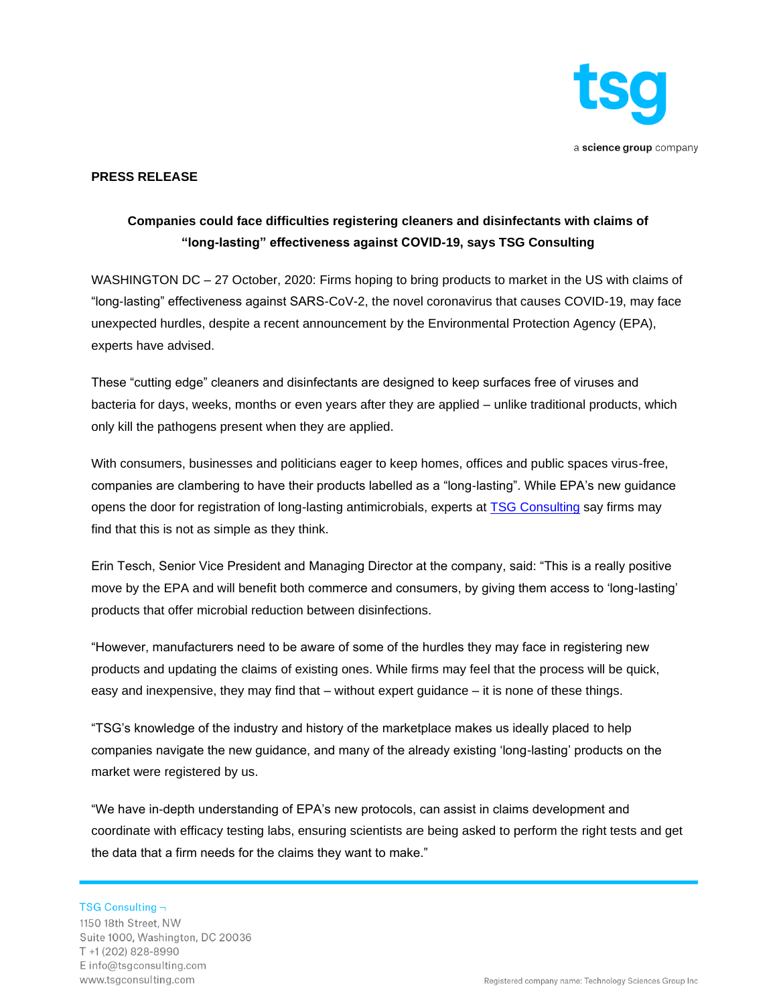

#### **PRESS RELEASE**

# **Companies could face difficulties registering cleaners and disinfectants with claims of "long-lasting" effectiveness against COVID-19, says TSG Consulting**

WASHINGTON DC – 27 October, 2020: Firms hoping to bring products to market in the US with claims of "long-lasting" effectiveness against SARS-CoV-2, the novel coronavirus that causes COVID-19, may face unexpected hurdles, despite a recent announcement by the Environmental Protection Agency (EPA), experts have advised.

These "cutting edge" cleaners and disinfectants are designed to keep surfaces free of viruses and bacteria for days, weeks, months or even years after they are applied – unlike traditional products, which only kill the pathogens present when they are applied.

With consumers, businesses and politicians eager to keep homes, offices and public spaces virus-free, companies are clambering to have their products labelled as a "long-lasting". While EPA's new guidance opens the door for registration of long-lasting antimicrobials, experts at **TSG Consulting say firms may** find that this is not as simple as they think.

Erin Tesch, Senior Vice President and Managing Director at the company, said: "This is a really positive move by the EPA and will benefit both commerce and consumers, by giving them access to 'long-lasting' products that offer microbial reduction between disinfections.

"However, manufacturers need to be aware of some of the hurdles they may face in registering new products and updating the claims of existing ones. While firms may feel that the process will be quick, easy and inexpensive, they may find that – without expert guidance – it is none of these things.

"TSG's knowledge of the industry and history of the marketplace makes us ideally placed to help companies navigate the new guidance, and many of the already existing 'long-lasting' products on the market were registered by us.

"We have in-depth understanding of EPA's new protocols, can assist in claims development and coordinate with efficacy testing labs, ensuring scientists are being asked to perform the right tests and get the data that a firm needs for the claims they want to make."

TSG Consulting  $\neg$ 1150 18th Street, NW

Suite 1000, Washington, DC 20036 T +1 (202) 828-8990 Einfo@tsgconsulting.com www.tsgconsulting.com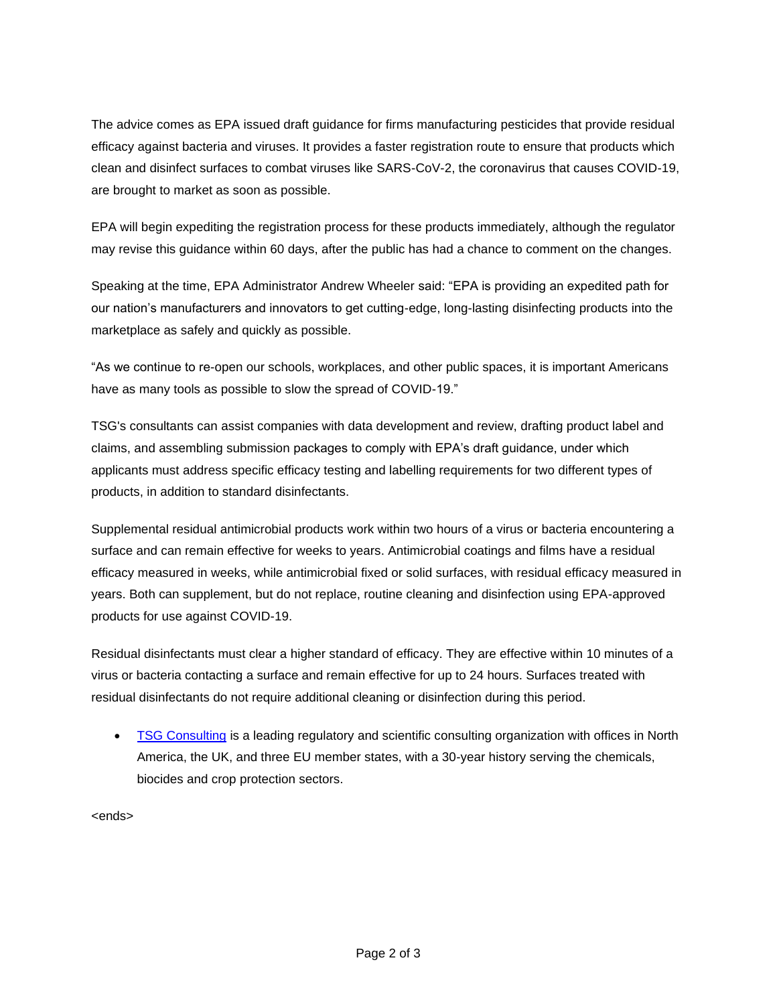The advice comes as EPA issued draft guidance for firms manufacturing pesticides that provide residual efficacy against bacteria and viruses. It provides a faster registration route to ensure that products which clean and disinfect surfaces to combat viruses like SARS-CoV-2, the coronavirus that causes COVID-19, are brought to market as soon as possible.

EPA will begin expediting the registration process for these products immediately, although the regulator may revise this guidance within 60 days, after the public has had a chance to comment on the changes.

Speaking at the time, EPA Administrator Andrew Wheeler said: "EPA is providing an expedited path for our nation's manufacturers and innovators to get cutting-edge, long-lasting disinfecting products into the marketplace as safely and quickly as possible.

"As we continue to re-open our schools, workplaces, and other public spaces, it is important Americans have as many tools as possible to slow the spread of COVID-19."

TSG's consultants can assist companies with data development and review, drafting product label and claims, and assembling submission packages to comply with EPA's draft guidance, under which applicants must address specific efficacy testing and labelling requirements for two different types of products, in addition to standard disinfectants.

Supplemental residual antimicrobial products work within two hours of a virus or bacteria encountering a surface and can remain effective for weeks to years. Antimicrobial coatings and films have a residual efficacy measured in weeks, while antimicrobial fixed or solid surfaces, with residual efficacy measured in years. Both can supplement, but do not replace, routine cleaning and disinfection using EPA-approved products for use against COVID-19.

Residual disinfectants must clear a higher standard of efficacy. They are effective within 10 minutes of a virus or bacteria contacting a surface and remain effective for up to 24 hours. Surfaces treated with residual disinfectants do not require additional cleaning or disinfection during this period.

• [TSG Consulting](https://www.tsgconsulting.com/) is a leading regulatory and scientific consulting organization with offices in North America, the UK, and three EU member states, with a 30-year history serving the chemicals, biocides and crop protection sectors.

<ends>